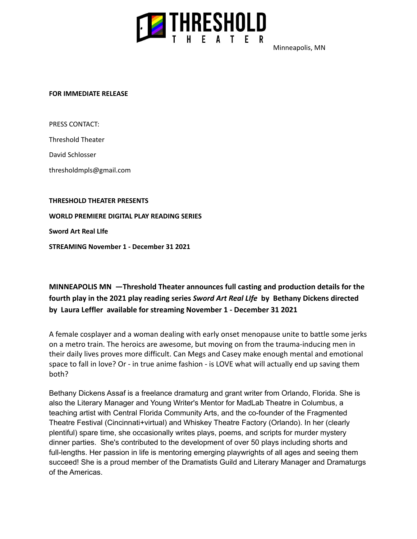

Minneapolis, MN

## **FOR IMMEDIATE RELEASE**

PRESS CONTACT:

Threshold Theater

David Schlosser

thresholdmpls@gmail.com

**THRESHOLD THEATER PRESENTS**

**WORLD PREMIERE DIGITAL PLAY READING SERIES**

**Sword Art Real LIfe**

**STREAMING November 1 - December 31 2021**

**MINNEAPOLIS MN —Threshold Theater announces full casting and production details for the fourth play in the 2021 play reading series** *Sword Art Real LIfe* **by Bethany Dickens directed by Laura Leffler available for streaming November 1 - December 31 2021**

A female cosplayer and a woman dealing with early onset menopause unite to battle some jerks on a metro train. The heroics are awesome, but moving on from the trauma-inducing men in their daily lives proves more difficult. Can Megs and Casey make enough mental and emotional space to fall in love? Or - in true anime fashion - is LOVE what will actually end up saving them both?

Bethany Dickens Assaf is a freelance dramaturg and grant writer from Orlando, Florida. She is also the Literary Manager and Young Writer's Mentor for MadLab Theatre in Columbus, a teaching artist with Central Florida Community Arts, and the co-founder of the Fragmented Theatre Festival (Cincinnati+virtual) and Whiskey Theatre Factory (Orlando). In her (clearly plentiful) spare time, she occasionally writes plays, poems, and scripts for murder mystery dinner parties. She's contributed to the development of over 50 plays including shorts and full-lengths. Her passion in life is mentoring emerging playwrights of all ages and seeing them succeed! She is a proud member of the Dramatists Guild and Literary Manager and Dramaturgs of the Americas.